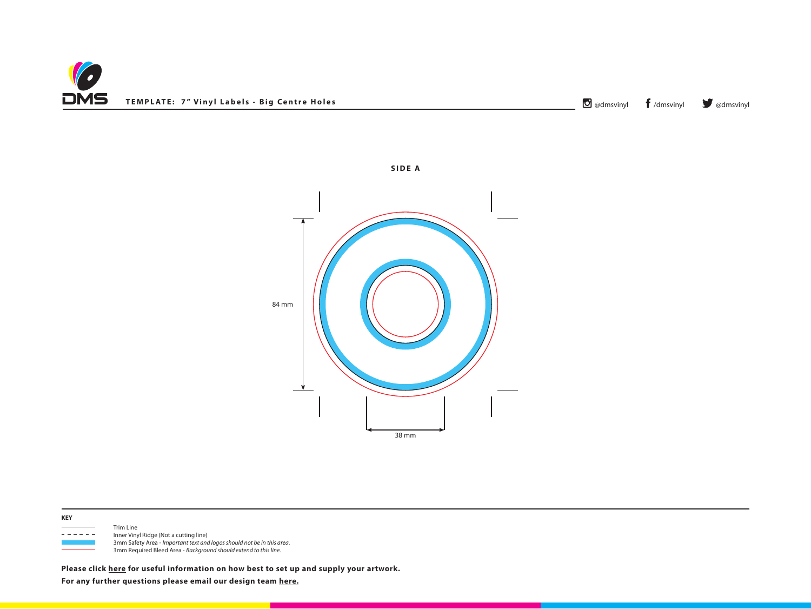



**SIDE A**



 Trim Line - - - - - Inner Vinyl Ridge (Not a cutting line) 3mm Safety Area - *Important text and logos should not be in this area*. 3mm Required Bleed Area - *Background should extend to this line.*

**Please click [here](http://www.discmanufacturingservices.com/vinyl/templates#artwork-specifications) for useful information on how best to set up and supply your artwork.**

**For any further questions please email our design team [here.](mailto:graphics%40discmanufacturingservices.com?subject=Template%20Enquiry)**